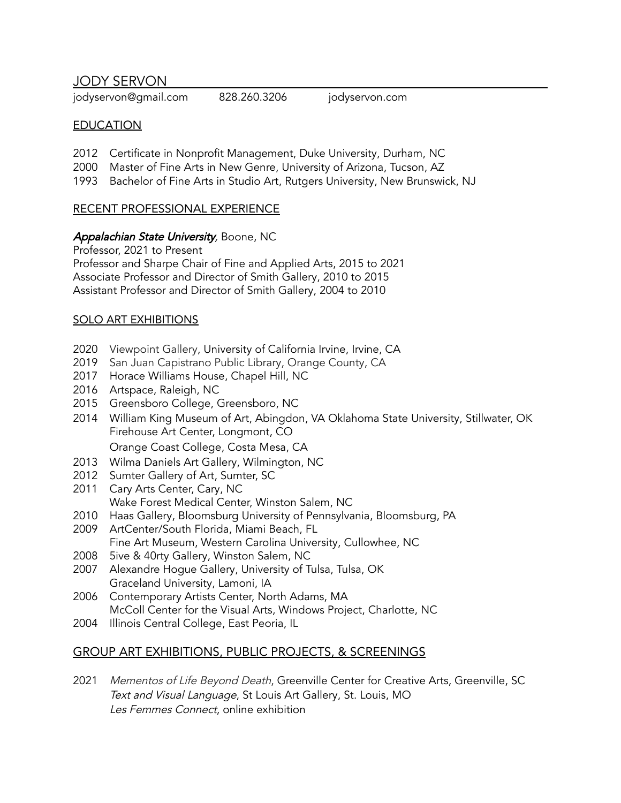JODY SERVON

jodyservon@gmail.com 828.260.3206 jodyservon.com

### **EDUCATION**

- 2012 Certificate in Nonprofit Management, Duke University, Durham, NC
- 2000 Master of Fine Arts in New Genre, University of Arizona, Tucson, AZ
- 1993 Bachelor of Fine Arts in Studio Art, Rutgers University, New Brunswick, NJ

## RECENT PROFESSIONAL EXPERIENCE

#### Appalachian State University, Boone, NC

Professor, 2021 to Present Professor and Sharpe Chair of Fine and Applied Arts, 2015 to 2021 Associate Professor and Director of Smith Gallery, 2010 to 2015 Assistant Professor and Director of Smith Gallery, 2004 to 2010

#### SOLO ART EXHIBITIONS

- 2020 Viewpoint Gallery, University of California Irvine, Irvine, CA
- 2019 San Juan Capistrano Public Library, Orange County, CA
- 2017 Horace Williams House, Chapel Hill, NC
- 2016 Artspace, Raleigh, NC
- 2015 Greensboro College, Greensboro, NC
- 2014 William King Museum of Art, Abingdon, VA Oklahoma State University, Stillwater, OK Firehouse Art Center, Longmont, CO Orange Coast College, Costa Mesa, CA
- 2013 Wilma Daniels Art Gallery, Wilmington, NC
- 2012 Sumter Gallery of Art, Sumter, SC
- 2011 Cary Arts Center, Cary, NC Wake Forest Medical Center, Winston Salem, NC
- 2010 Haas Gallery, Bloomsburg University of Pennsylvania, Bloomsburg, PA
- 2009 ArtCenter/South Florida, Miami Beach, FL
	- Fine Art Museum, Western Carolina University, Cullowhee, NC
- 2008 5ive & 40rty Gallery, Winston Salem, NC
- 2007 Alexandre Hogue Gallery, University of Tulsa, Tulsa, OK Graceland University, Lamoni, IA
- 2006 Contemporary Artists Center, North Adams, MA McColl Center for the Visual Arts, Windows Project, Charlotte, NC
- 2004 Illinois Central College, East Peoria, IL

# GROUP ART EXHIBITIONS, PUBLIC PROJECTS, & SCREENINGS

2021 Mementos of Life Beyond Death, Greenville Center for Creative Arts, Greenville, SC Text and Visual Language, St Louis Art Gallery, St. Louis, MO Les Femmes Connect, online exhibition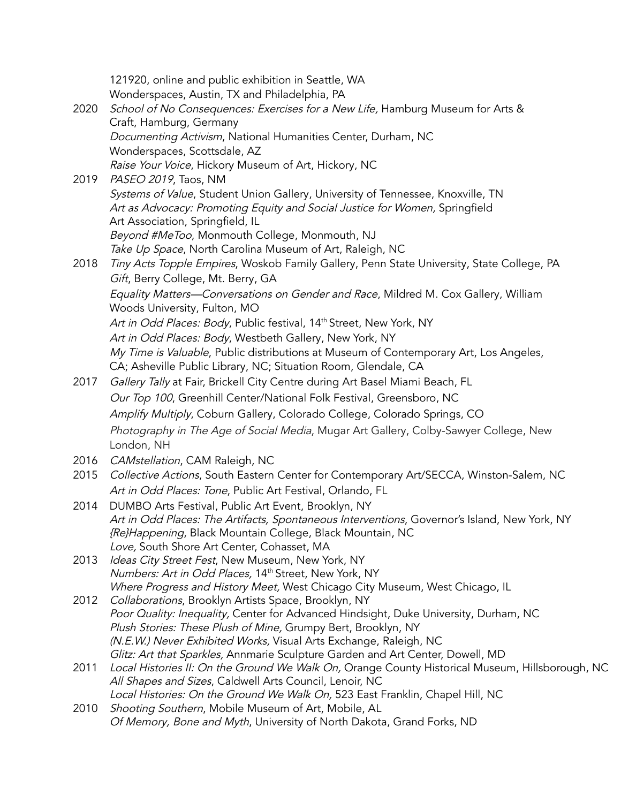|      | 121920, online and public exhibition in Seattle, WA                                                                                  |
|------|--------------------------------------------------------------------------------------------------------------------------------------|
|      | Wonderspaces, Austin, TX and Philadelphia, PA                                                                                        |
| 2020 | School of No Consequences: Exercises for a New Life, Hamburg Museum for Arts &                                                       |
|      | Craft, Hamburg, Germany                                                                                                              |
|      | Documenting Activism, National Humanities Center, Durham, NC                                                                         |
|      | Wonderspaces, Scottsdale, AZ                                                                                                         |
|      | Raise Your Voice, Hickory Museum of Art, Hickory, NC                                                                                 |
| 2019 | PASEO 2019, Taos, NM                                                                                                                 |
|      | Systems of Value, Student Union Gallery, University of Tennessee, Knoxville, TN                                                      |
|      | Art as Advocacy: Promoting Equity and Social Justice for Women, Springfield                                                          |
|      | Art Association, Springfield, IL                                                                                                     |
|      | Beyond #MeToo, Monmouth College, Monmouth, NJ                                                                                        |
|      | Take Up Space, North Carolina Museum of Art, Raleigh, NC                                                                             |
| 2018 | Tiny Acts Topple Empires, Woskob Family Gallery, Penn State University, State College, PA                                            |
|      | Gift, Berry College, Mt. Berry, GA                                                                                                   |
|      | Equality Matters-Conversations on Gender and Race, Mildred M. Cox Gallery, William                                                   |
|      | Woods University, Fulton, MO                                                                                                         |
|      | Art in Odd Places: Body, Public festival, 14th Street, New York, NY                                                                  |
|      | Art in Odd Places: Body, Westbeth Gallery, New York, NY                                                                              |
|      | My Time is Valuable, Public distributions at Museum of Contemporary Art, Los Angeles,                                                |
|      | CA; Asheville Public Library, NC; Situation Room, Glendale, CA                                                                       |
| 2017 | Gallery Tally at Fair, Brickell City Centre during Art Basel Miami Beach, FL                                                         |
|      | Our Top 100, Greenhill Center/National Folk Festival, Greensboro, NC                                                                 |
|      | Amplify Multiply, Coburn Gallery, Colorado College, Colorado Springs, CO                                                             |
|      | Photography in The Age of Social Media, Mugar Art Gallery, Colby-Sawyer College, New                                                 |
|      | London, NH                                                                                                                           |
| 2016 | CAMstellation, CAM Raleigh, NC                                                                                                       |
| 2015 | Collective Actions, South Eastern Center for Contemporary Art/SECCA, Winston-Salem, NC                                               |
|      | Art in Odd Places: Tone, Public Art Festival, Orlando, FL                                                                            |
| 2014 | DUMBO Arts Festival, Public Art Event, Brooklyn, NY                                                                                  |
|      | Art in Odd Places: The Artifacts, Spontaneous Interventions, Governor's Island, New York, NY                                         |
|      | {Re}Happening, Black Mountain College, Black Mountain, NC                                                                            |
|      | Love, South Shore Art Center, Cohasset, MA                                                                                           |
| 2013 | Ideas City Street Fest, New Museum, New York, NY                                                                                     |
|      | Numbers: Art in Odd Places, 14th Street, New York, NY<br>Where Progress and History Meet, West Chicago City Museum, West Chicago, IL |
| 2012 | Collaborations, Brooklyn Artists Space, Brooklyn, NY                                                                                 |
|      | Poor Quality: Inequality, Center for Advanced Hindsight, Duke University, Durham, NC                                                 |
|      | Plush Stories: These Plush of Mine, Grumpy Bert, Brooklyn, NY                                                                        |
|      | (N.E.W.) Never Exhibited Works, Visual Arts Exchange, Raleigh, NC                                                                    |
|      | Glitz: Art that Sparkles, Annmarie Sculpture Garden and Art Center, Dowell, MD                                                       |
| 2011 | Local Histories II: On the Ground We Walk On, Orange County Historical Museum, Hillsborough, NC                                      |
|      | All Shapes and Sizes, Caldwell Arts Council, Lenoir, NC                                                                              |
|      | Local Histories: On the Ground We Walk On, 523 East Franklin, Chapel Hill, NC                                                        |
| 2010 | Shooting Southern, Mobile Museum of Art, Mobile, AL                                                                                  |
|      | Of Memory, Bone and Myth, University of North Dakota, Grand Forks, ND                                                                |
|      |                                                                                                                                      |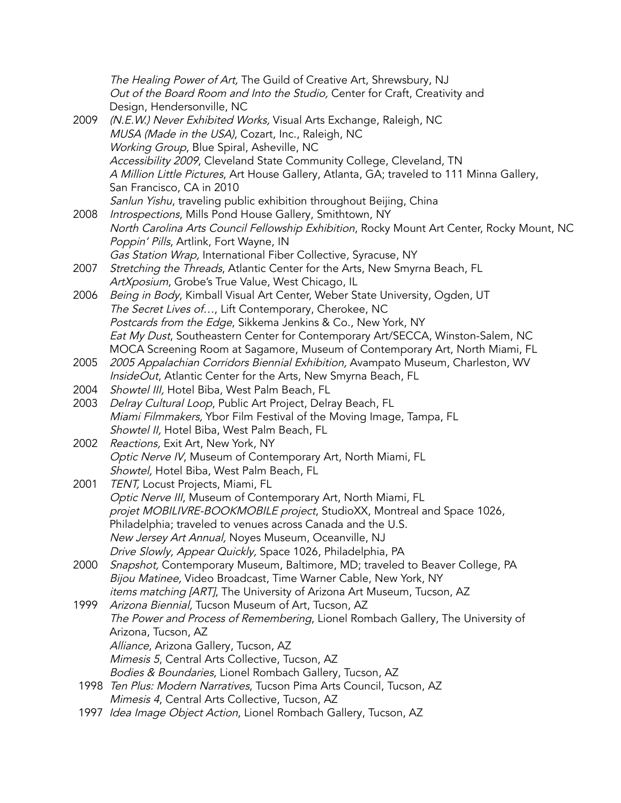|      | The Healing Power of Art, The Guild of Creative Art, Shrewsbury, NJ                        |
|------|--------------------------------------------------------------------------------------------|
|      | Out of the Board Room and Into the Studio, Center for Craft, Creativity and                |
|      | Design, Hendersonville, NC                                                                 |
| 2009 | (N.E.W.) Never Exhibited Works, Visual Arts Exchange, Raleigh, NC                          |
|      | MUSA (Made in the USA), Cozart, Inc., Raleigh, NC                                          |
|      | Working Group, Blue Spiral, Asheville, NC                                                  |
|      | Accessibility 2009, Cleveland State Community College, Cleveland, TN                       |
|      | A Million Little Pictures, Art House Gallery, Atlanta, GA; traveled to 111 Minna Gallery,  |
|      | San Francisco, CA in 2010                                                                  |
|      | Sanlun Yishu, traveling public exhibition throughout Beijing, China                        |
| 2008 | Introspections, Mills Pond House Gallery, Smithtown, NY                                    |
|      | North Carolina Arts Council Fellowship Exhibition, Rocky Mount Art Center, Rocky Mount, NC |
|      | Poppin' Pills, Artlink, Fort Wayne, IN                                                     |
|      | Gas Station Wrap, International Fiber Collective, Syracuse, NY                             |
| 2007 | Stretching the Threads, Atlantic Center for the Arts, New Smyrna Beach, FL                 |
|      | ArtXposium, Grobe's True Value, West Chicago, IL                                           |
| 2006 | Being in Body, Kimball Visual Art Center, Weber State University, Ogden, UT                |
|      | The Secret Lives of, Lift Contemporary, Cherokee, NC                                       |
|      | Postcards from the Edge, Sikkema Jenkins & Co., New York, NY                               |
|      | Eat My Dust, Southeastern Center for Contemporary Art/SECCA, Winston-Salem, NC             |
|      | MOCA Screening Room at Sagamore, Museum of Contemporary Art, North Miami, FL               |
| 2005 | 2005 Appalachian Corridors Biennial Exhibition, Avampato Museum, Charleston, WV            |
|      | InsideOut, Atlantic Center for the Arts, New Smyrna Beach, FL                              |
| 2004 | Showtel III, Hotel Biba, West Palm Beach, FL                                               |
| 2003 | Delray Cultural Loop, Public Art Project, Delray Beach, FL                                 |
|      | Miami Filmmakers, Ybor Film Festival of the Moving Image, Tampa, FL                        |
|      | Showtel II, Hotel Biba, West Palm Beach, FL                                                |
| 2002 | Reactions, Exit Art, New York, NY                                                          |
|      | Optic Nerve IV, Museum of Contemporary Art, North Miami, FL                                |
|      | Showtel, Hotel Biba, West Palm Beach, FL                                                   |
| 2001 | TENT, Locust Projects, Miami, FL                                                           |
|      | Optic Nerve III, Museum of Contemporary Art, North Miami, FL                               |
|      | projet MOBILIVRE-BOOKMOBILE project, StudioXX, Montreal and Space 1026,                    |
|      | Philadelphia; traveled to venues across Canada and the U.S.                                |
|      | New Jersey Art Annual, Noyes Museum, Oceanville, NJ                                        |
|      | Drive Slowly, Appear Quickly, Space 1026, Philadelphia, PA                                 |
| 2000 | Snapshot, Contemporary Museum, Baltimore, MD; traveled to Beaver College, PA               |
|      | Bijou Matinee, Video Broadcast, Time Warner Cable, New York, NY                            |
|      | <i>items matching [ART]</i> , The University of Arizona Art Museum, Tucson, AZ             |
| 1999 | Arizona Biennial, Tucson Museum of Art, Tucson, AZ                                         |
|      | The Power and Process of Remembering, Lionel Rombach Gallery, The University of            |
|      | Arizona, Tucson, AZ                                                                        |
|      | Alliance, Arizona Gallery, Tucson, AZ                                                      |
|      | Mimesis 5, Central Arts Collective, Tucson, AZ                                             |
|      | Bodies & Boundaries, Lionel Rombach Gallery, Tucson, AZ                                    |
| 1998 | Ten Plus: Modern Narratives, Tucson Pima Arts Council, Tucson, AZ                          |
|      | Mimesis 4, Central Arts Collective, Tucson, AZ                                             |
| 1997 | Idea Image Object Action, Lionel Rombach Gallery, Tucson, AZ                               |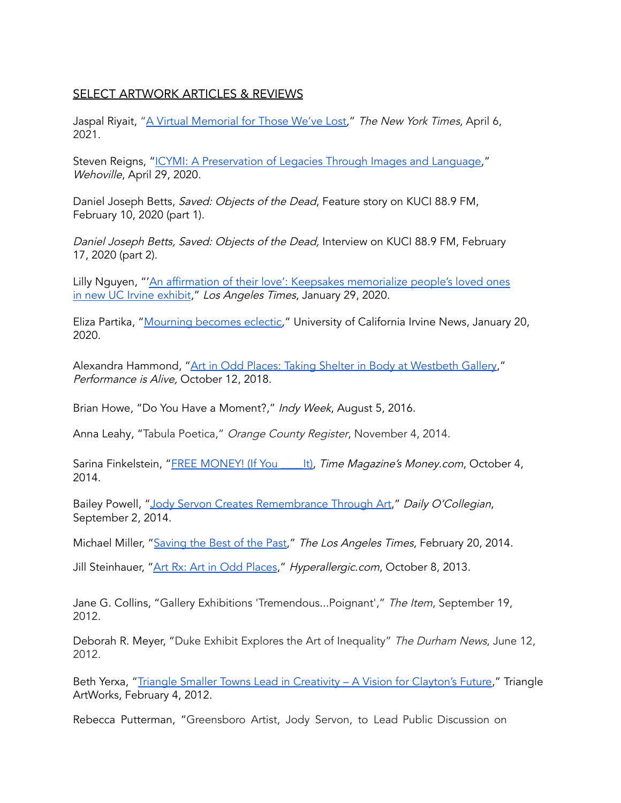### SELECT ARTWORK ARTICLES & REVIEWS

Jaspal Riyait, "A Virtual [Memorial](https://www.nytimes.com/2021/04/06/insider/covid-grief-loss.html) for Those We've Lost," The New York Times, April 6, 2021.

Steven Reigns, "ICYMI: A [Preservation](https://www.wehoville.com/2020/04/29/icymi-a-preservation-of-legacies-through-images-and-language/) of Legacies Through Images and Language," Wehoville, April 29, 2020[.](https://www.wehoville.com/2020/04/29/icymi-a-preservation-of-legacies-through-images-and-language/)

Daniel Joseph Betts, Saved: Objects of the Dead, Feature story on KUCI 88.9 FM, February 10, 2020 (part 1).

Daniel Joseph Betts, Saved: Objects of the Dead, Interview on KUCI 88.9 FM, February 17, 2020 (part 2).

Lilly Nguyen, "'An affirmation of their love': Keepsakes [memorialize](https://www.latimes.com/socal/daily-pilot/news/story/2020-01-29/an-affirmation-of-their-love-keepsakes-memorialize-peoples-loved-ones-in-new-uc-irvine-exhibit) people's loved ones in new UC Irvine [exhibit](https://www.latimes.com/socal/daily-pilot/news/story/2020-01-29/an-affirmation-of-their-love-keepsakes-memorialize-peoples-loved-ones-in-new-uc-irvine-exhibit)," Los Angeles Times, January 29, 2020.

Eliza [P](https://news.uci.edu/2020/01/27/mourning-becomes-eclectic/)artika, ["Mourning](https://news.uci.edu/2020/01/27/mourning-becomes-eclectic/) becomes eclectic," University of California Irvine News, January 20, 2020.

Alexandra Hammond, "Art in Odd Places: Taking Shelter in Body at [Westbeth](https://www.performanceisalive.com/news/art-in-odd-places-taking-shelter-in-body-at-westbeth-gallery-by-alexandra-hammond) Gallery," Performance is Alive, October 12, 2018.

Brian Howe, "Do You Have a Moment?," Indy Week, August 5, 2016[.](http://www.indyweek.com/indyweek/do-you-)

Anna Leahy, "Tabula Poetica," Orange County Register, November 4, 2014.

Sarina Finkelstein, "FREE [MONEY!](http://time.com/money/3442708/jodi-servon-free-money/) (If You lt), Time Magazine's Money.com, October 4, 2014.

Bailey Powell, "Jody Servon Creates [Remembrance](http://www.ocolly.com/news/article_a1233ba6-3304-11e4-bc23-001a4bcf6878.html) Through Art," Daily O'Collegian, September 2, [2014.](http://www.ocolly.com/news/article_a1233ba6-3304-11e4-bc23-001a4bcf6878.html)

Michael Miller, "[Saving](https://www.latimes.com/socal/daily-pilot/entertainment/tn-dpt-xpm-2014-02-20-tn-dpt-et-%200221-saved-jody-servon-lorene-delany-ull-20140220-story.html) the Best of the Past," The Los Angeles Times, February 20, 2014.

Jill Steinhauer, "Art Rx: Art in Odd [Places](http://hyperallergic.com/86990/art-rx-83/)," Hyperallergic[.](http://hyperallergic.com/86990/art-rx-83/)com, October 8, 2013.

Jane G. Collins, "Gallery Exhibitions 'Tremendous...Poignant'," The Item, September 19, 2012.

Deborah R. Meyer, "Duke Exhibit Explores the Art of Inequality" The Durham News, June 12, 2012.

Beth Yerxa, "Triangle Smaller Towns Lead in [Creativity](http://www.triangleartworks.org/2012/04/02/triangle-smaller-%20towns-lead-in-creativity-a-vision-for-claytons-future/) – A Vision for Clayton's Future," Triangle ArtWorks, February 4, 2012.

Rebecca Putterman, "Greensboro Artist, Jody Servon, to Lead Public Discussion on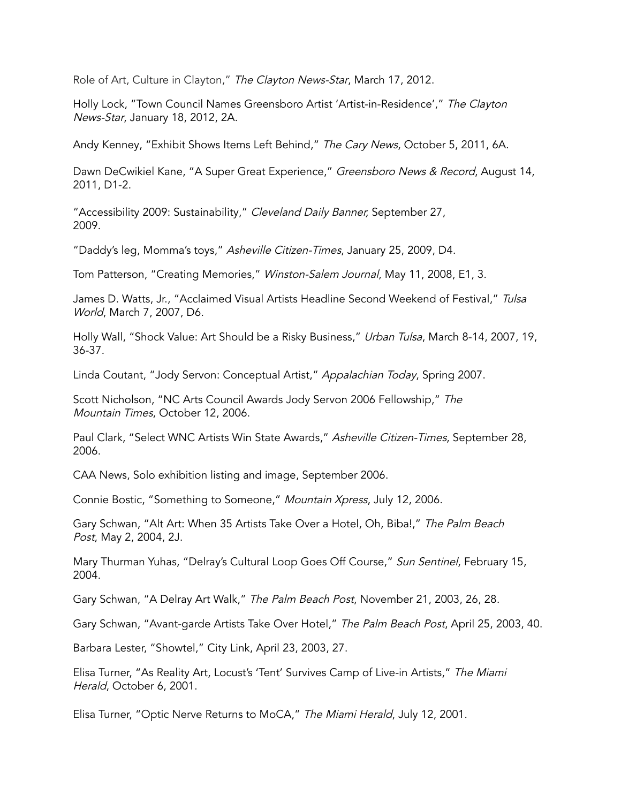Role of Art, Culture in Clayton," The Clayton News-Star, March 17, 2012.

Holly Lock, "Town Council Names Greensboro Artist 'Artist-in-Residence'," The Clayton News-Star, January 18, 2012, 2A.

Andy Kenney, "Exhibit Shows Items Left Behind," The Cary News, October 5, 2011, 6A.

Dawn DeCwikiel Kane, "A Super Great Experience," Greensboro News & Record, August 14, 2011, D1-2.

"Accessibility 2009: Sustainability," Cleveland Daily Banner, September 27, 2009.

"Daddy's leg, Momma's toys," Asheville Citizen-Times, January 25, 2009, D4.

Tom Patterson, "Creating Memories," Winston-Salem Journal, May 11, 2008, E1, 3.

James D. Watts, Jr., "Acclaimed Visual Artists Headline Second Weekend of Festival," Tulsa World, March 7, 2007, D6.

Holly Wall, "Shock Value: Art Should be a Risky Business," Urban Tulsa, March 8-14, 2007, 19, 36-37.

Linda Coutant, "Jody Servon: Conceptual Artist," Appalachian Today, Spring 2007.

Scott Nicholson, "NC Arts Council Awards Jody Servon 2006 Fellowship," The Mountain Times, October 12, 2006.

Paul Clark, "Select WNC Artists Win State Awards," Asheville Citizen-Times, September 28, 2006.

CAA News, Solo exhibition listing and image, September 2006.

Connie Bostic, "Something to Someone," Mountain Xpress, July 12, 2006.

Gary Schwan, "Alt Art: When 35 Artists Take Over a Hotel, Oh, Biba!," The Palm Beach Post, May 2, 2004, 2J.

Mary Thurman Yuhas, "Delray's Cultural Loop Goes Off Course," Sun Sentinel, February 15, 2004.

Gary Schwan, "A Delray Art Walk," The Palm Beach Post, November 21, 2003, 26, 28.

Gary Schwan, "Avant-garde Artists Take Over Hotel," The Palm Beach Post, April 25, 2003, 40.

Barbara Lester, "Showtel," City Link, April 23, 2003, 27.

Elisa Turner, "As Reality Art, Locust's 'Tent' Survives Camp of Live-in Artists," The Miami Herald, October 6, 2001.

Elisa Turner, "Optic Nerve Returns to MoCA," The Miami Herald, July 12, 2001.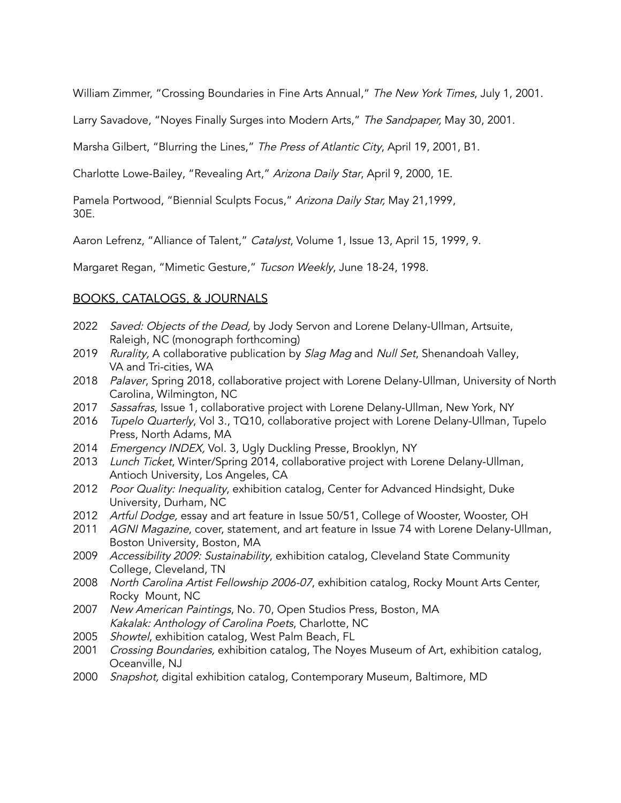William Zimmer, "Crossing Boundaries in Fine Arts Annual," The New York Times, July 1, 2001.

Larry Savadove, "Noyes Finally Surges into Modern Arts," The Sandpaper, May 30, 2001.

Marsha Gilbert, "Blurring the Lines," The Press of Atlantic City, April 19, 2001, B1.

Charlotte Lowe-Bailey, "Revealing Art," Arizona Daily Star, April 9, 2000, 1E.

Pamela Portwood, "Biennial Sculpts Focus," Arizona Daily Star, May 21,1999, 30E.

Aaron Lefrenz, "Alliance of Talent," Catalyst, Volume 1, Issue 13, April 15, 1999, 9.

Margaret Regan, "Mimetic Gesture," Tucson Weekly, June 18-24, 1998.

#### BOOKS, CATALOGS, & JOURNALS

- 2022 Saved: Objects of the Dead, by Jody Servon and Lorene Delany-Ullman, Artsuite, Raleigh, NC (monograph forthcoming)
- 2019 Rurality, A collaborative publication by Slag Mag and Null Set, Shenandoah Valley, VA and Tri-cities, WA
- 2018 Palaver, Spring 2018, collaborative project with Lorene Delany-Ullman, University of North Carolina, Wilmington, NC
- 2017 Sassafras, Issue 1, collaborative project with Lorene Delany-Ullman, New York, NY
- 2016 Tupelo Quarterly, Vol 3., TQ10, collaborative project with Lorene Delany-Ullman, Tupelo Press, North Adams, MA
- 2014 Emergency INDEX, Vol. 3, Ugly Duckling Presse, Brooklyn, NY
- 2013 Lunch Ticket, Winter/Spring 2014, collaborative project with Lorene Delany-Ullman, Antioch University, Los Angeles, CA
- 2012 Poor Quality: Inequality, exhibition catalog, Center for Advanced Hindsight, Duke University, Durham, NC
- 2012 Artful Dodge, essay and art feature in Issue 50/51, College of Wooster, Wooster, OH
- 2011 AGNI Magazine, cover, statement, and art feature in Issue 74 with Lorene Delany-Ullman, Boston University, Boston, MA
- 2009 Accessibility 2009: Sustainability, exhibition catalog, Cleveland State Community College, Cleveland, TN
- 2008 North Carolina Artist Fellowship 2006-07, exhibition catalog, Rocky Mount Arts Center, Rocky Mount, NC
- 2007 New American Paintings, No. 70, Open Studios Press, Boston, MA Kakalak: Anthology of Carolina Poets, Charlotte, NC
- 2005 Showtel, exhibition catalog, West Palm Beach, FL
- 2001 *Crossing Boundaries,* exhibition catalog, The Noyes Museum of Art, exhibition catalog, Oceanville, NJ
- 2000 Snapshot, digital exhibition catalog, Contemporary Museum, Baltimore, MD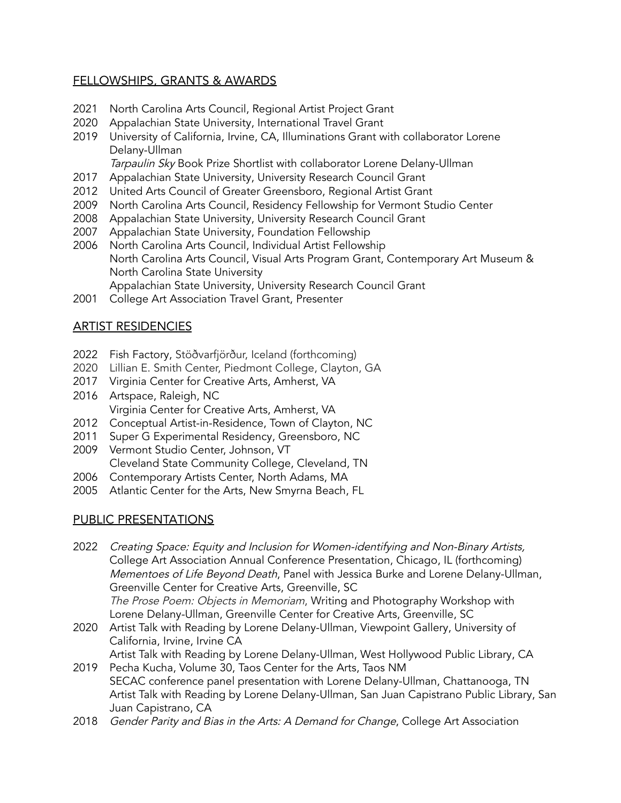## FELLOWSHIPS, GRANTS & AWARDS

- 2021 North Carolina Arts Council, Regional Artist Project Grant
- 2020 Appalachian State University, International Travel Grant
- 2019 University of California, Irvine, CA, Illuminations Grant with collaborator Lorene Delany-Ullman

Tarpaulin Sky Book Prize Shortlist with collaborator Lorene Delany-Ullman

- 2017 Appalachian State University, University Research Council Grant
- 2012 United Arts Council of Greater Greensboro, Regional Artist Grant
- 2009 North Carolina Arts Council, Residency Fellowship for Vermont Studio Center
- 2008 Appalachian State University, University Research Council Grant
- 2007 Appalachian State University, Foundation Fellowship
- 2006 North Carolina Arts Council, Individual Artist Fellowship North Carolina Arts Council, Visual Arts Program Grant, Contemporary Art Museum & North Carolina State University Appalachian State University, University Research Council Grant
- 2001 College Art Association Travel Grant, Presenter

# ARTIST RESIDENCIES

- 2022 Fish Factory, Stöðvarfjörður, Iceland (forthcoming)
- 2020 Lillian E. Smith Center, Piedmont College, Clayton, GA
- 2017 Virginia Center for Creative Arts, Amherst, VA
- 2016 Artspace, Raleigh, NC Virginia Center for Creative Arts, Amherst, VA
- 2012 Conceptual Artist-in-Residence, Town of Clayton, NC
- 2011 Super G Experimental Residency, Greensboro, NC
- 2009 Vermont Studio Center, Johnson, VT Cleveland State Community College, Cleveland, TN
- 2006 Contemporary Artists Center, North Adams, MA
- 2005 Atlantic Center for the Arts, New Smyrna Beach, FL

#### PUBLIC PRESENTATIONS

- 2022 Creating Space: Equity and Inclusion for Women-identifying and Non-Binary Artists, College Art Association Annual Conference Presentation, Chicago, IL (forthcoming) Mementoes of Life Beyond Death, Panel with Jessica Burke and Lorene Delany-Ullman, Greenville Center for Creative Arts, Greenville, SC The Prose Poem: Objects in Memoriam, Writing and Photography Workshop with Lorene Delany-Ullman, Greenville Center for Creative Arts, Greenville, SC
- 2020 Artist Talk with Reading by Lorene Delany-Ullman, Viewpoint Gallery, University of California, Irvine, Irvine CA
- Artist Talk with Reading by Lorene Delany-Ullman, West Hollywood Public Library, CA 2019 Pecha Kucha, Volume 30, Taos Center for the Arts, Taos NM
- SECAC conference panel presentation with Lorene Delany-Ullman, Chattanooga, TN Artist Talk with Reading by Lorene Delany-Ullman, San Juan Capistrano Public Library, San Juan Capistrano, CA
- 2018 Gender Parity and Bias in the Arts: A Demand for Change, College Art Association